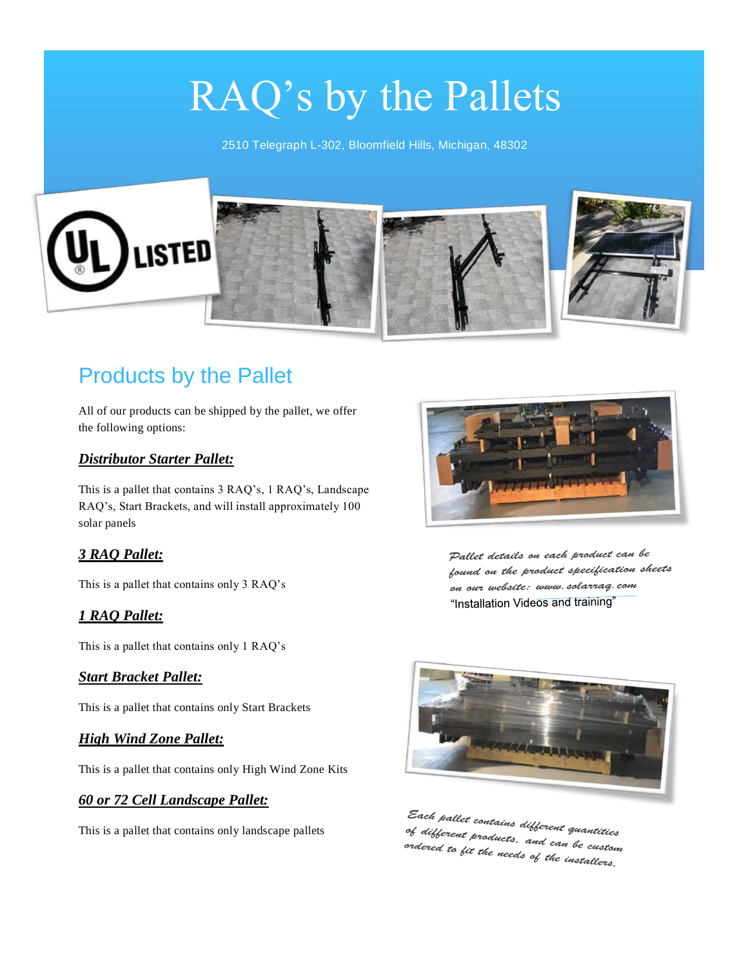# RAQ's by the Pallets

2510 Telegraph L-302, Bloomfield Hills, Michigan, 48302



## Products by the Pallet

All of our products can be shipped by the pallet, we offer the following options:

#### *Distributor Starter Pallet:*

This is a pallet that contains 3 RAQ's, 1 RAQ's, Landscape RAQ's, Start Brackets, and will install approximately 100 solar panels

#### *3 RAQ Pallet:*

This is a pallet that contains only 3 RAQ's

#### *1 RAQ Pallet:*

This is a pallet that contains only 1 RAQ's

#### *Start Bracket Pallet:*

This is a pallet that contains only Start Brackets

#### *High Wind Zone Pallet:*

This is a pallet that contains only High Wind Zone Kits

#### *60 or 72 Cell Landscape Pallet:*

This is a pallet that contains only landscape pallets



Pallet details on each product can be found on the product specification sheets on our website: www.solarrag.com "Installation Videos and training"



Each pallet contains different quantities<br>of different products, and of different contains different quantities<br>of different products, and can be custom<br>ordered to fit the needs al 11 o "-oor un products, and can be custod<br>ordered to fit the needs of the installers,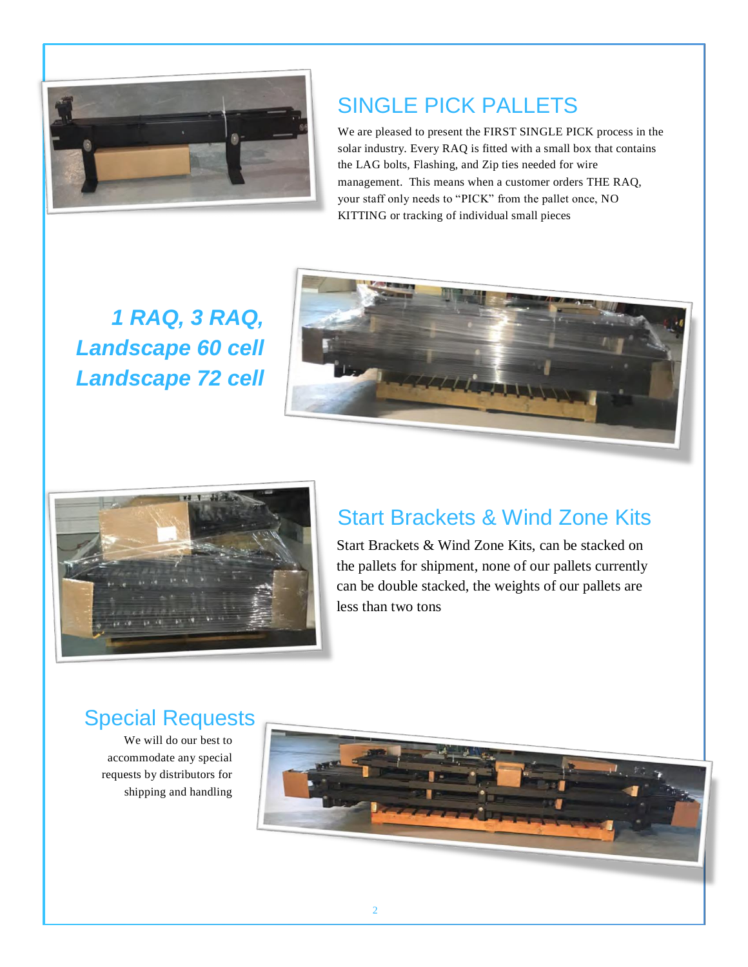

## SINGLE PICK PALLETS

We are pleased to present the FIRST SINGLE PICK process in the solar industry. Every RAQ is fitted with a small box that contains the LAG bolts, Flashing, and Zip ties needed for wire management. This means when a customer orders THE RAQ, your staff only needs to "PICK" from the pallet once, NO KITTING or tracking of individual small pieces

*1 RAQ, 3 RAQ, Landscape 60 cell Landscape 72 cell*





## Start Brackets & Wind Zone Kits

Start Brackets & Wind Zone Kits, can be stacked on the pallets for shipment, none of our pallets currently can be double stacked, the weights of our pallets are less than two tons

### Special Requests

We will do our best to accommodate any special requests by distributors for shipping and handling